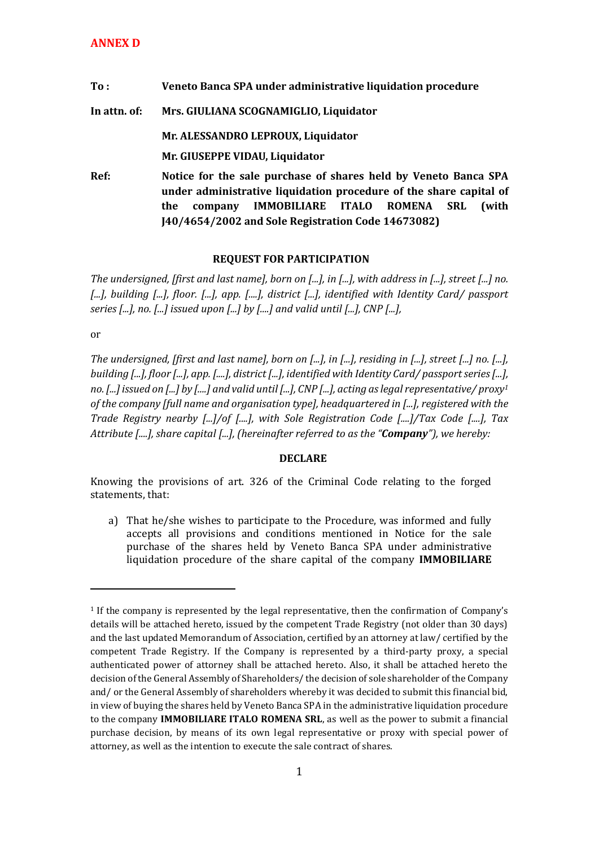| To:          | Veneto Banca SPA under administrative liquidation procedure                                                                           |
|--------------|---------------------------------------------------------------------------------------------------------------------------------------|
| In attn. of: | Mrs. GIULIANA SCOGNAMIGLIO, Liquidator                                                                                                |
|              | Mr. ALESSANDRO LEPROUX, Liquidator                                                                                                    |
|              | Mr. GIUSEPPE VIDAU, Liquidator                                                                                                        |
| Ref:         | Notice for the sale purchase of shares held by Veneto Banca SPA<br>under administrative liquidation procedure of the share capital of |
|              | IMMOBILIARE ITALO ROMENA<br>(with<br><b>SRL</b><br>the<br>company                                                                     |
|              | [40/4654/2002 and Sole Registration Code 14673082]                                                                                    |

## **REQUEST FOR PARTICIPATION**

*The undersigned, [first and last name], born on [...], in [...], with address in [...], street [...] no. [...], building [...], floor. [...], app. [....], district [...], identified with Identity Card/ passport series [...], no. [...] issued upon [...] by [....] and valid until [...], CNP [...],* 

or

**.** 

*The undersigned, [first and last name], born on [...], in [...], residing in [...], street [...] no. [...], building [...], floor [...], app. [....], district [...], identified with Identity Card/ passport series [...], no. [...] issued on [...] by [....] and valid until [...], CNP [...], acting as legal representative/ proxy<sup>1</sup> of the company [full name and organisation type], headquartered in [...], registered with the Trade Registry nearby [...]/of [....], with Sole Registration Code [....]/Tax Code [....], Tax Attribute [....], share capital [...], (hereinafter referred to as the "Company"), we hereby:* 

## **DECLARE**

Knowing the provisions of art. 326 of the Criminal Code relating to the forged statements, that:

a) That he/she wishes to participate to the Procedure, was informed and fully accepts all provisions and conditions mentioned in Notice for the sale purchase of the shares held by Veneto Banca SPA under administrative liquidation procedure of the share capital of the company **IMMOBILIARE** 

<sup>1</sup> If the company is represented by the legal representative, then the confirmation of Company's details will be attached hereto, issued by the competent Trade Registry (not older than 30 days) and the last updated Memorandum of Association, certified by an attorney at law/ certified by the competent Trade Registry. If the Company is represented by a third-party proxy, a special authenticated power of attorney shall be attached hereto. Also, it shall be attached hereto the decision of the General Assembly of Shareholders/ the decision of sole shareholder of the Company and/ or the General Assembly of shareholders whereby it was decided to submit this financial bid, in view of buying the shares held by Veneto Banca SPA in the administrative liquidation procedure to the company **IMMOBILIARE ITALO ROMENA SRL**, as well as the power to submit a financial purchase decision, by means of its own legal representative or proxy with special power of attorney, as well as the intention to execute the sale contract of shares.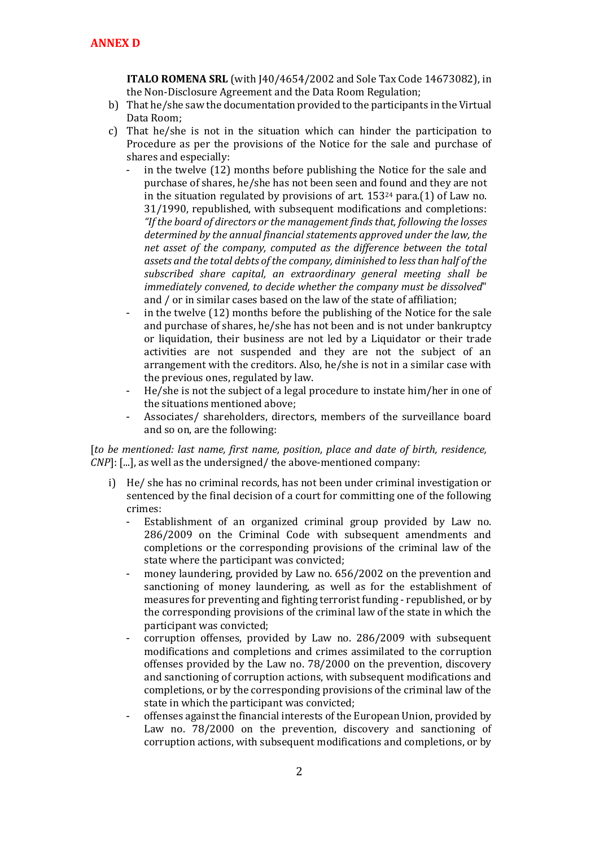**ITALO ROMENA SRL** (with J40/4654/2002 and Sole Tax Code 14673082), in the Non-Disclosure Agreement and the Data Room Regulation;

- b) That he/she saw the documentation provided to the participants in the Virtual Data Room;
- c) That he/she is not in the situation which can hinder the participation to Procedure as per the provisions of the Notice for the sale and purchase of shares and especially:
	- in the twelve (12) months before publishing the Notice for the sale and purchase of shares, he/she has not been seen and found and they are not in the situation regulated by provisions of art. 153<sup>24</sup> para.(1) of Law no. 31/1990, republished, with subsequent modifications and completions: *"If the board of directors or the management finds that, following the losses determined by the annual financial statements approved under the law, the net asset of the company, computed as the difference between the total assets and the total debts of the company, diminished to less than half of the subscribed share capital, an extraordinary general meeting shall be immediately convened, to decide whether the company must be dissolved*" and / or in similar cases based on the law of the state of affiliation;
	- in the twelve (12) months before the publishing of the Notice for the sale and purchase of shares, he/she has not been and is not under bankruptcy or liquidation, their business are not led by a Liquidator or their trade activities are not suspended and they are not the subject of an arrangement with the creditors. Also, he/she is not in a similar case with the previous ones, regulated by law.
	- He/she is not the subject of a legal procedure to instate him/her in one of the situations mentioned above;
	- Associates/ shareholders, directors, members of the surveillance board and so on, are the following:

[*to be mentioned: last name, first name, position, place and date of birth, residence, CNP*]: [...], as well as the undersigned/ the above-mentioned company:

- i) He/ she has no criminal records, has not been under criminal investigation or sentenced by the final decision of a court for committing one of the following crimes:
	- Establishment of an organized criminal group provided by Law no. 286/2009 on the Criminal Code with subsequent amendments and completions or the corresponding provisions of the criminal law of the state where the participant was convicted;
	- money laundering, provided by Law no. 656/2002 on the prevention and sanctioning of money laundering, as well as for the establishment of measures for preventing and fighting terrorist funding - republished, or by the corresponding provisions of the criminal law of the state in which the participant was convicted;
	- corruption offenses, provided by Law no. 286/2009 with subsequent modifications and completions and crimes assimilated to the corruption offenses provided by the Law no. 78/2000 on the prevention, discovery and sanctioning of corruption actions, with subsequent modifications and completions, or by the corresponding provisions of the criminal law of the state in which the participant was convicted;
	- offenses against the financial interests of the European Union, provided by Law no. 78/2000 on the prevention, discovery and sanctioning of corruption actions, with subsequent modifications and completions, or by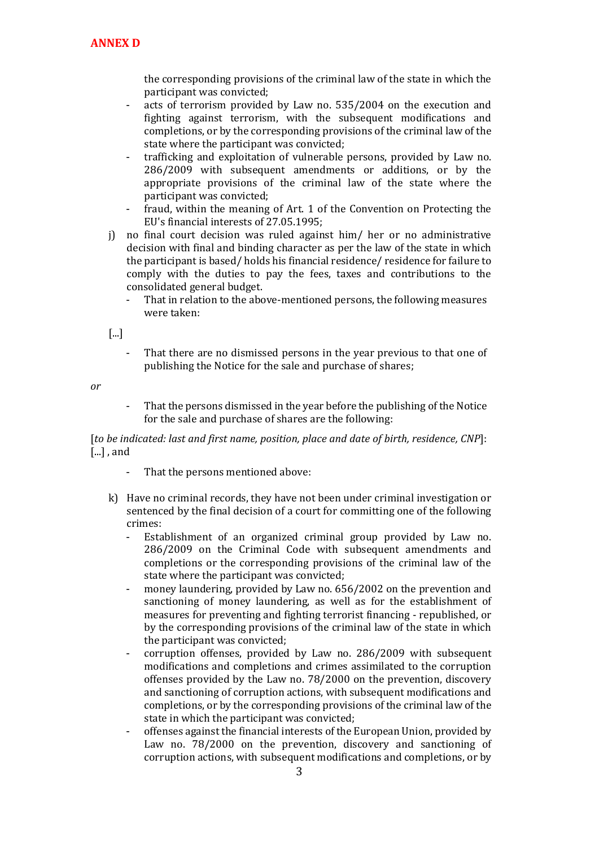the corresponding provisions of the criminal law of the state in which the participant was convicted;

- acts of terrorism provided by Law no. 535/2004 on the execution and fighting against terrorism, with the subsequent modifications and completions, or by the corresponding provisions of the criminal law of the state where the participant was convicted;
- trafficking and exploitation of vulnerable persons, provided by Law no. 286/2009 with subsequent amendments or additions, or by the appropriate provisions of the criminal law of the state where the participant was convicted;
- fraud, within the meaning of Art. 1 of the Convention on Protecting the EU's financial interests of 27.05.1995;
- j) no final court decision was ruled against him/ her or no administrative decision with final and binding character as per the law of the state in which the participant is based/ holds his financial residence/ residence for failure to comply with the duties to pay the fees, taxes and contributions to the consolidated general budget.
	- That in relation to the above-mentioned persons, the following measures were taken:

[...]

That there are no dismissed persons in the year previous to that one of publishing the Notice for the sale and purchase of shares;

*or*

That the persons dismissed in the year before the publishing of the Notice for the sale and purchase of shares are the following:

[*to be indicated: last and first name, position, place and date of birth, residence, CNP*]: [...] , and

- That the persons mentioned above:
- k) Have no criminal records, they have not been under criminal investigation or sentenced by the final decision of a court for committing one of the following crimes:
	- Establishment of an organized criminal group provided by Law no. 286/2009 on the Criminal Code with subsequent amendments and completions or the corresponding provisions of the criminal law of the state where the participant was convicted;
	- money laundering, provided by Law no. 656/2002 on the prevention and sanctioning of money laundering, as well as for the establishment of measures for preventing and fighting terrorist financing - republished, or by the corresponding provisions of the criminal law of the state in which the participant was convicted;
	- corruption offenses, provided by Law no. 286/2009 with subsequent modifications and completions and crimes assimilated to the corruption offenses provided by the Law no. 78/2000 on the prevention, discovery and sanctioning of corruption actions, with subsequent modifications and completions, or by the corresponding provisions of the criminal law of the state in which the participant was convicted;
	- offenses against the financial interests of the European Union, provided by Law no. 78/2000 on the prevention, discovery and sanctioning of corruption actions, with subsequent modifications and completions, or by